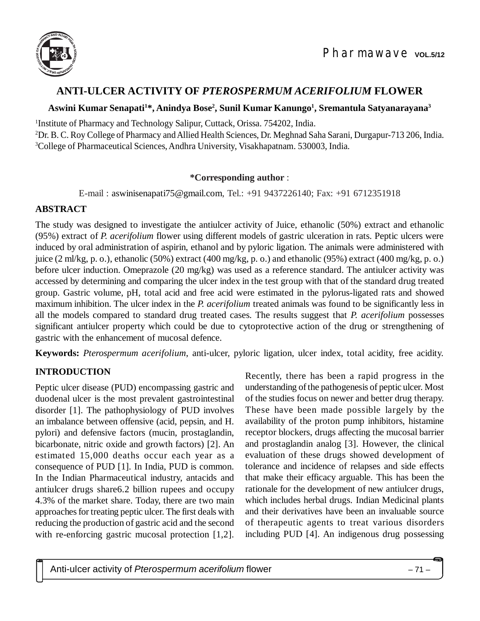

# **ANTI-ULCER ACTIVITY OF** *PTEROSPERMUM ACERIFOLIUM* **FLOWER**

### **Aswini Kumar Senapati<sup>1</sup>\*, Anindya Bose<sup>2</sup> , Sunil Kumar Kanungo<sup>1</sup> , Sremantula Satyanarayana<sup>3</sup>**

1 Institute of Pharmacy and Technology Salipur, Cuttack, Orissa. 754202, India.

<sup>2</sup>Dr. B. C. Roy College of Pharmacy and Allied Health Sciences, Dr. Meghnad Saha Sarani, Durgapur-713 206, India. <sup>3</sup>College of Pharmaceutical Sciences, Andhra University, Visakhapatnam. 530003, India.

#### **\*Corresponding author** :

E-mail : [aswinisenapati75@gmail.com](mailto:aswinisenapati75:@gmail.com), Tel.: +91 9437226140; Fax: +91 6712351918

### **ABSTRACT**

The study was designed to investigate the antiulcer activity of Juice, ethanolic (50%) extract and ethanolic (95%) extract of *P. acerifolium* flower using different models of gastric ulceration in rats. Peptic ulcers were induced by oral administration of aspirin, ethanol and by pyloric ligation. The animals were administered with juice (2 ml/kg, p. o.), ethanolic (50%) extract (400 mg/kg, p. o.) and ethanolic (95%) extract (400 mg/kg, p. o.) before ulcer induction. Omeprazole (20 mg/kg) was used as a reference standard. The antiulcer activity was accessed by determining and comparing the ulcer index in the test group with that of the standard drug treated group. Gastric volume, pH, total acid and free acid were estimated in the pylorus-ligated rats and showed maximum inhibition. The ulcer index in the *P. acerifolium* treated animals was found to be significantly less in all the models compared to standard drug treated cases. The results suggest that *P. acerifolium* possesses significant antiulcer property which could be due to cytoprotective action of the drug or strengthening of gastric with the enhancement of mucosal defence.

**Keywords:** *Pterospermum acerifolium*, anti-ulcer, pyloric ligation, ulcer index, total acidity, free acidity.

## **INTRODUCTION**

Peptic ulcer disease (PUD) encompassing gastric and duodenal ulcer is the most prevalent gastrointestinal disorder [1]. The pathophysiology of PUD involves an imbalance between offensive (acid, pepsin, and H. pylori) and defensive factors (mucin, prostaglandin, bicarbonate, nitric oxide and growth factors) [2]. An estimated 15,000 deaths occur each year as a consequence of PUD [1]. In India, PUD is common. In the Indian Pharmaceutical industry, antacids and antiulcer drugs share6.2 billion rupees and occupy 4.3% of the market share. Today, there are two main approaches for treating peptic ulcer. The first deals with reducing the production of gastric acid and the second with re-enforcing gastric mucosal protection [1,2].

Recently, there has been a rapid progress in the understanding of the pathogenesis of peptic ulcer. Most of the studies focus on newer and better drug therapy. These have been made possible largely by the availability of the proton pump inhibitors, histamine receptor blockers, drugs affecting the mucosal barrier and prostaglandin analog [3]. However, the clinical evaluation of these drugs showed development of tolerance and incidence of relapses and side effects that make their efficacy arguable. This has been the rationale for the development of new antiulcer drugs, which includes herbal drugs. Indian Medicinal plants and their derivatives have been an invaluable source of therapeutic agents to treat various disorders including PUD [4]. An indigenous drug possessing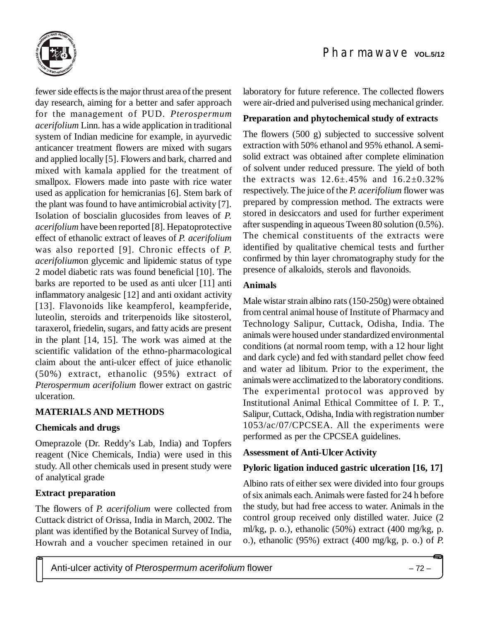

fewer side effects is the major thrust area of the present day research, aiming for a better and safer approach for the management of PUD. *Pterospermum acerifolium* Linn. has a wide application in traditional system of Indian medicine for example, in ayurvedic anticancer treatment flowers are mixed with sugars and applied locally [5]. Flowers and bark, charred and mixed with kamala applied for the treatment of smallpox. Flowers made into paste with rice water used as application for hemicranias [6]. Stem bark of the plant was found to have antimicrobial activity [7]. Isolation of boscialin glucosides from leaves of *P. acerifolium* have been reported [8]. Hepatoprotective effect of ethanolic extract of leaves of *P. acerifolium* was also reported [9]. Chronic effects of *P. acerifolium*on glycemic and lipidemic status of type 2 model diabetic rats was found beneficial [10]. The barks are reported to be used as anti ulcer [11] anti inflammatory analgesic [12] and anti oxidant activity [13]. Flavonoids like keampferol, keampferide, luteolin, steroids and triterpenoids like sitosterol, taraxerol, friedelin, sugars, and fatty acids are present in the plant [14, 15]. The work was aimed at the scientific validation of the ethno-pharmacological claim about the anti-ulcer effect of juice ethanolic (50%) extract, ethanolic (95%) extract of *Pterospermum acerifolium* flower extract on gastric ulceration.

## **MATERIALS AND METHODS**

### **Chemicals and drugs**

Omeprazole (Dr. Reddy's Lab, India) and Topfers reagent (Nice Chemicals, India) were used in this study. All other chemicals used in present study were of analytical grade

## **Extract preparation**

The flowers of *P. acerifolium* were collected from Cuttack district of Orissa, India in March, 2002. The plant was identified by the Botanical Survey of India, Howrah and a voucher specimen retained in our

laboratory for future reference. The collected flowers were air-dried and pulverised using mechanical grinder.

### **Preparation and phytochemical study of extracts**

The flowers (500 g) subjected to successive solvent extraction with 50% ethanol and 95% ethanol. A semisolid extract was obtained after complete elimination of solvent under reduced pressure. The yield of both the extracts was  $12.6 \pm .45\%$  and  $16.2 \pm 0.32\%$ respectively. The juice of the *P. acerifolium* flower was prepared by compression method. The extracts were stored in desiccators and used for further experiment after suspending in aqueous Tween 80 solution (0.5%). The chemical constituents of the extracts were identified by qualitative chemical tests and further confirmed by thin layer chromatography study for the presence of alkaloids, sterols and flavonoids.

### **Animals**

Male wistar strain albino rats (150-250g) were obtained from central animal house of Institute of Pharmacy and Technology Salipur, Cuttack, Odisha, India. The animals were housed under standardized environmental conditions (at normal room temp, with a 12 hour light and dark cycle) and fed with standard pellet chow feed and water ad libitum. Prior to the experiment, the animals were acclimatized to the laboratory conditions. The experimental protocol was approved by Institutional Animal Ethical Committee of I. P. T., Salipur, Cuttack, Odisha, India with registration number 1053/ac/07/CPCSEA. All the experiments were performed as per the CPCSEA guidelines.

### **Assessment of Anti-Ulcer Activity**

## **Pyloric ligation induced gastric ulceration [16, 17]**

Albino rats of either sex were divided into four groups of six animals each. Animals were fasted for 24 h before the study, but had free access to water. Animals in the control group received only distilled water. Juice (2 ml/kg, p. o.), ethanolic (50%) extract (400 mg/kg, p. o.), ethanolic (95%) extract (400 mg/kg, p. o.) of *P.*

Anti-ulcer activity of *Pterospermum acerifolium* flower – 72 –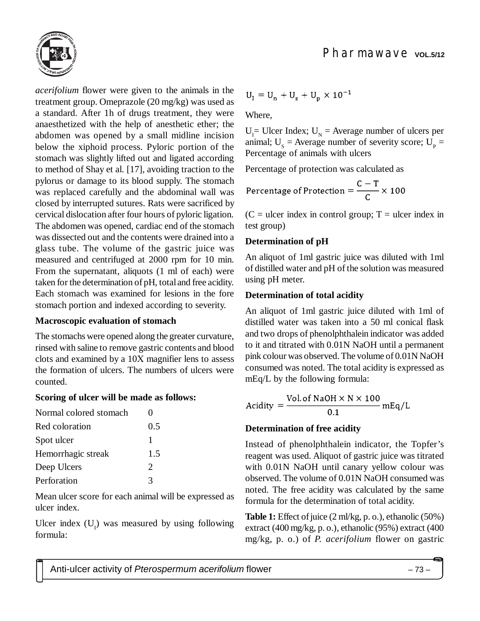



*acerifolium* flower were given to the animals in the treatment group. Omeprazole (20 mg/kg) was used as a standard. After 1h of drugs treatment, they were anaesthetized with the help of anesthetic ether; the abdomen was opened by a small midline incision below the xiphoid process. Pyloric portion of the stomach was slightly lifted out and ligated according to method of Shay et al. [17], avoiding traction to the pylorus or damage to its blood supply. The stomach was replaced carefully and the abdominal wall was closed by interrupted sutures. Rats were sacrificed by cervical dislocation after four hours of pyloric ligation. The abdomen was opened, cardiac end of the stomach was dissected out and the contents were drained into a glass tube. The volume of the gastric juice was measured and centrifuged at 2000 rpm for 10 min. From the supernatant, aliquots (1 ml of each) were taken for the determination of pH, total and free acidity. Each stomach was examined for lesions in the fore stomach portion and indexed according to severity.

### **Macroscopic evaluation of stomach**

The stomachs were opened along the greater curvature, rinsed with saline to remove gastric contents and blood clots and examined by a 10X magnifier lens to assess the formation of ulcers. The numbers of ulcers were counted.

### **Scoring of ulcer will be made as follows:**

| 0.5                         |
|-----------------------------|
|                             |
| 1.5                         |
| $\mathcal{D}_{\mathcal{L}}$ |
| 3                           |
|                             |

Mean ulcer score for each animal will be expressed as ulcer index.

Ulcer index  $(U_1)$  was measured by using following formula:

$$
U_1 = U_n + U_s + U_n \times 10^{-1}
$$

Where,

 $U_1$  = Ulcer Index;  $U_N$  = Average number of ulcers per animal;  $U_s$  = Average number of severity score;  $U_p$  = Percentage of animals with ulcers

Percentage of protection was calculated as

Percentage of Protection =  $\frac{C-T}{C} \times 100$ 

 $(C = \text{ulcer index in control group}; T = \text{ulcer index in})$ test group)

## **Determination of pH**

An aliquot of 1ml gastric juice was diluted with 1ml of distilled water and pH of the solution was measured using pH meter.

### **Determination of total acidity**

An aliquot of 1ml gastric juice diluted with 1ml of distilled water was taken into a 50 ml conical flask and two drops of phenolphthalein indicator was added to it and titrated with 0.01N NaOH until a permanent pink colour was observed. The volume of 0.01N NaOH consumed was noted. The total acidity is expressed as mEq/L by the following formula:

$$
Acidity = \frac{Vol. \text{ of NaOH} \times N \times 100}{0.1} mEq/L
$$

## **Determination of free acidity**

Instead of phenolphthalein indicator, the Topfer's reagent was used. Aliquot of gastric juice was titrated with 0.01N NaOH until canary yellow colour was observed. The volume of 0.01N NaOH consumed was noted. The free acidity was calculated by the same formula for the determination of total acidity.

**Table 1:** Effect of juice (2 ml/kg, p. o.), ethanolic (50%) extract (400 mg/kg, p. o.), ethanolic (95%) extract (400 mg/kg, p. o.) of *P. acerifolium* flower on gastric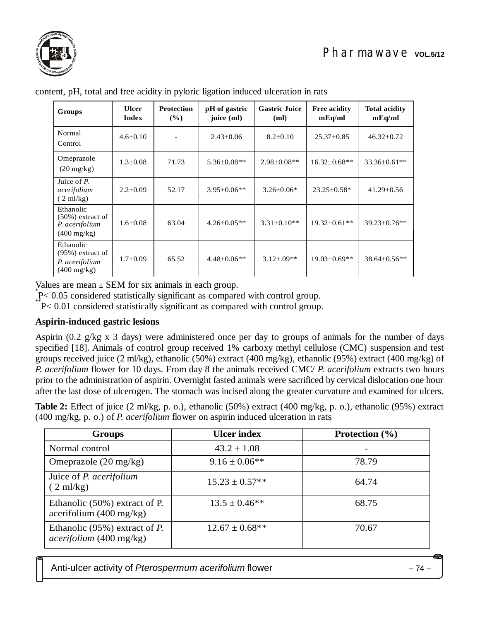

| Groups                                                                      | <b>Ulcer</b><br><b>Index</b> | <b>Protection</b><br>$(\%)$ | pH of gastric<br>juice (ml) | <b>Gastric Juice</b><br>(ml) | <b>Free acidity</b><br>mEq/ml | <b>Total acidity</b><br>mEq/ml |
|-----------------------------------------------------------------------------|------------------------------|-----------------------------|-----------------------------|------------------------------|-------------------------------|--------------------------------|
| Normal<br>Control                                                           | $4.6 \pm 0.10$               |                             | $2.43 \pm 0.06$             | $8.2 \pm 0.10$               | $25.37 \pm 0.85$              | $46.32 \pm 0.72$               |
| Omeprazole<br>$(20 \text{ mg/kg})$                                          | $1.3 \pm 0.08$               | 71.73                       | $5.36 \pm 0.08**$           | $2.98 \pm 0.08**$            | $16.32 \pm 0.68**$            | $33.36 \pm 0.61**$             |
| Juice of $P$ .<br>acerifolium<br>$(2 \text{ ml/kg})$                        | $2.2 \pm 0.09$               | 52.17                       | $3.95 \pm 0.06**$           | $3.26 \pm 0.06*$             | $23.25 \pm 0.58^*$            | $41.29 \pm 0.56$               |
| Ethanolic<br>$(50\%)$ extract of<br>P. acerifolium<br>$(400 \text{ mg/kg})$ | $1.6 \pm 0.08$               | 63.04                       | $4.26 \pm 0.05**$           | $3.31 \pm 0.10**$            | $19.32 \pm 0.61**$            | $39.23 \pm 0.76$ **            |
| Ethanolic<br>$(95\%)$ extract of<br>P. acerifolium<br>$(400 \text{ mg/kg})$ | $1.7 \pm 0.09$               | 65.52                       | $4.48 \pm 0.06**$           | $3.12 + 0.09**$              | $19.03 \pm 0.69**$            | 38.64±0.56**                   |

content, pH, total and free acidity in pyloric ligation induced ulceration in rats

Values are mean  $\pm$  SEM for six animals in each group.

P < 0.05 considered statistically significant as compared with control group.

 $P < 0.01$  considered statistically significant as compared with control group.

### **Aspirin-induced gastric lesions**

Aspirin (0.2 g/kg x 3 days) were administered once per day to groups of animals for the number of days specified [18]. Animals of control group received 1% carboxy methyl cellulose (CMC) suspension and test groups received juice (2 ml/kg), ethanolic (50%) extract (400 mg/kg), ethanolic (95%) extract (400 mg/kg) of *P. acerifolium* flower for 10 days. From day 8 the animals received CMC/ *P. acerifolium* extracts two hours prior to the administration of aspirin. Overnight fasted animals were sacrificed by cervical dislocation one hour after the last dose of ulcerogen. The stomach was incised along the greater curvature and examined for ulcers.

**Table 2:** Effect of juice (2 ml/kg, p. o.), ethanolic (50%) extract (400 mg/kg, p. o.), ethanolic (95%) extract (400 mg/kg, p. o.) of *P. acerifolium* flower on aspirin induced ulceration in rats

| <b>Groups</b>                                                      | <b>Ulcer index</b>  | <b>Protection</b> $(\% )$ |
|--------------------------------------------------------------------|---------------------|---------------------------|
| Normal control                                                     | $43.2 \pm 1.08$     |                           |
| Omeprazole $(20 \text{ mg/kg})$                                    | $9.16 \pm 0.06$ **  | 78.79                     |
| Juice of <i>P. acerifolium</i><br>$(2 \text{ ml/kg})$              | $15.23 \pm 0.57**$  | 64.74                     |
| Ethanolic (50%) extract of P.<br>acerifolium $(400 \text{ mg/kg})$ | $13.5 \pm 0.46**$   | 68.75                     |
| Ethanolic $(95\%)$ extract of P.<br>acerifolium (400 mg/kg)        | $12.67 \pm 0.68$ ** | 70.67                     |

Anti-ulcer activity of *Pterospermum acerifolium* flower – 74 –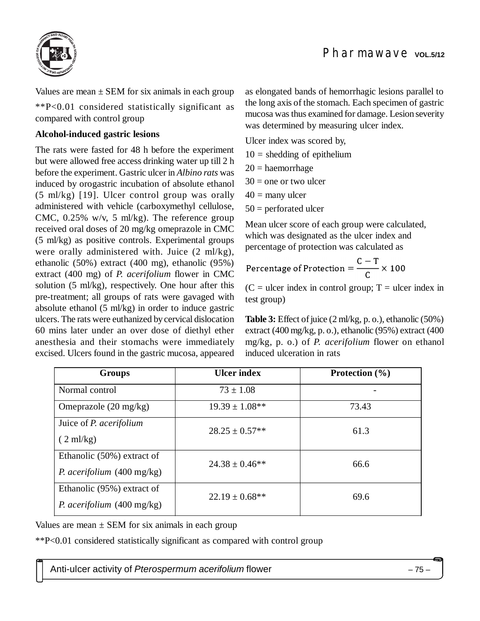

Values are mean  $\pm$  SEM for six animals in each group

\*\*P<0.01 considered statistically significant as compared with control group

#### **Alcohol-induced gastric lesions**

The rats were fasted for 48 h before the experiment but were allowed free access drinking water up till 2 h before the experiment. Gastric ulcer in *Albino rats* was induced by orogastric incubation of absolute ethanol (5 ml/kg) [19]. Ulcer control group was orally administered with vehicle (carboxymethyl cellulose, CMC,  $0.25\%$  w/v, 5 ml/kg). The reference group received oral doses of 20 mg/kg omeprazole in CMC (5 ml/kg) as positive controls. Experimental groups were orally administered with. Juice (2 ml/kg), ethanolic (50%) extract (400 mg), ethanolic (95%) extract (400 mg) of *P. acerifolium* flower in CMC solution (5 ml/kg), respectively. One hour after this pre-treatment; all groups of rats were gavaged with absolute ethanol (5 ml/kg) in order to induce gastric ulcers. The rats were euthanized by cervical dislocation 60 mins later under an over dose of diethyl ether anesthesia and their stomachs were immediately excised. Ulcers found in the gastric mucosa, appeared as elongated bands of hemorrhagic lesions parallel to the long axis of the stomach. Each specimen of gastric mucosa was thus examined for damage. Lesion severity was determined by measuring ulcer index.

Ulcer index was scored by,

- $10 =$  shedding of epithelium
- $20 =$  haemorrhage
- $30 =$  one or two ulcer
- $40 =$  many ulcer

 $50 =$  perforated ulcer

Mean ulcer score of each group were calculated, which was designated as the ulcer index and percentage of protection was calculated as

Percentage of Protection = 
$$
\frac{C - T}{C} \times 100
$$

 $(C = \text{ulcer index in control group}; T = \text{ulcer index in})$ test group)

**Table 3:** Effect of juice (2 ml/kg, p. o.), ethanolic (50%) extract (400 mg/kg, p. o.), ethanolic (95%) extract (400 mg/kg, p. o.) of *P. acerifolium* flower on ethanol induced ulceration in rats

| <b>Groups</b>                               | <b>Ulcer index</b>  | <b>Protection</b> $(\% )$ |  |
|---------------------------------------------|---------------------|---------------------------|--|
| Normal control                              | $73 \pm 1.08$       |                           |  |
| Omeprazole $(20 \text{ mg/kg})$             | $19.39 \pm 1.08**$  | 73.43                     |  |
| Juice of <i>P. acerifolium</i>              | $28.25 \pm 0.57**$  | 61.3                      |  |
| $(2 \text{ ml/kg})$                         |                     |                           |  |
| Ethanolic (50%) extract of                  | $24.38 \pm 0.46$ ** | 66.6                      |  |
| <i>P. acerifolium</i> $(400 \text{ mg/kg})$ |                     |                           |  |
| Ethanolic (95%) extract of                  | $22.19 \pm 0.68$ ** | 69.6                      |  |
| <i>P. acerifolium</i> $(400 \text{ mg/kg})$ |                     |                           |  |

Values are mean  $\pm$  SEM for six animals in each group

\*\*P<0.01 considered statistically significant as compared with control group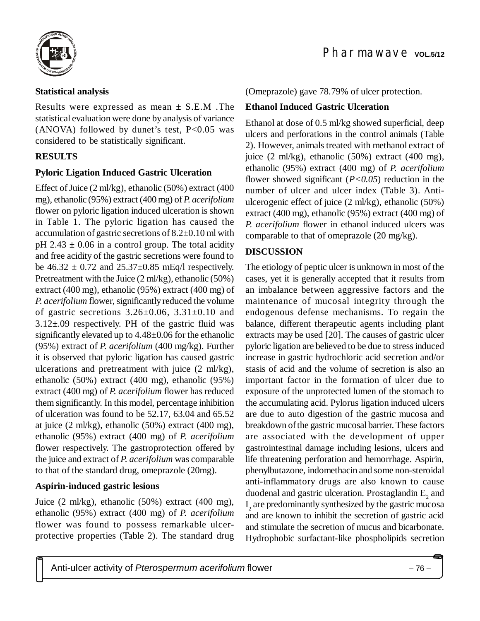

### **Statistical analysis**

Results were expressed as mean  $\pm$  S.E.M . The statistical evaluation were done by analysis of variance (ANOVA) followed by dunet's test,  $P<0.05$  was considered to be statistically significant.

### **RESULTS**

#### **Pyloric Ligation Induced Gastric Ulceration**

Effect of Juice (2 ml/kg), ethanolic (50%) extract (400 mg), ethanolic (95%) extract (400 mg) of*P. acerifolium* flower on pyloric ligation induced ulceration is shown in Table 1. The pyloric ligation has caused the accumulation of gastric secretions of 8.2±0.10 ml with pH 2.43  $\pm$  0.06 in a control group. The total acidity and free acidity of the gastric secretions were found to be  $46.32 \pm 0.72$  and  $25.37 \pm 0.85$  mEq/l respectively. Pretreatment with the Juice (2 ml/kg), ethanolic (50%) extract (400 mg), ethanolic (95%) extract (400 mg) of *P. acerifolium* flower, significantly reduced the volume of gastric secretions  $3.26 \pm 0.06$ ,  $3.31 \pm 0.10$  and  $3.12\pm.09$  respectively. PH of the gastric fluid was significantly elevated up to 4.48±0.06 for the ethanolic (95%) extract of *P. acerifolium* (400 mg/kg). Further it is observed that pyloric ligation has caused gastric ulcerations and pretreatment with juice (2 ml/kg), ethanolic (50%) extract (400 mg), ethanolic (95%) extract (400 mg) of *P. acerifolium* flower has reduced them significantly. In this model, percentage inhibition of ulceration was found to be 52.17, 63.04 and 65.52 at juice (2 ml/kg), ethanolic (50%) extract (400 mg), ethanolic (95%) extract (400 mg) of *P. acerifolium* flower respectively. The gastroprotection offered by the juice and extract of *P. acerifolium* was comparable to that of the standard drug, omeprazole (20mg).

#### **Aspirin-induced gastric lesions**

Juice (2 ml/kg), ethanolic (50%) extract (400 mg), ethanolic (95%) extract (400 mg) of *P. acerifolium* flower was found to possess remarkable ulcerprotective properties (Table 2). The standard drug

(Omeprazole) gave 78.79% of ulcer protection.

#### **Ethanol Induced Gastric Ulceration**

Ethanol at dose of 0.5 ml/kg showed superficial, deep ulcers and perforations in the control animals (Table 2). However, animals treated with methanol extract of juice (2 ml/kg), ethanolic (50%) extract (400 mg), ethanolic (95%) extract (400 mg) of *P. acerifolium* flower showed significant (*P<0.05*) reduction in the number of ulcer and ulcer index (Table 3). Antiulcerogenic effect of juice (2 ml/kg), ethanolic (50%) extract (400 mg), ethanolic (95%) extract (400 mg) of *P. acerifolium* flower in ethanol induced ulcers was comparable to that of omeprazole (20 mg/kg)*.*

#### **DISCUSSION**

The etiology of peptic ulcer is unknown in most of the cases, yet it is generally accepted that it results from an imbalance between aggressive factors and the maintenance of mucosal integrity through the endogenous defense mechanisms. To regain the balance, different therapeutic agents including plant extracts may be used [20]. The causes of gastric ulcer pyloric ligation are believed to be due to stress induced increase in gastric hydrochloric acid secretion and/or stasis of acid and the volume of secretion is also an important factor in the formation of ulcer due to exposure of the unprotected lumen of the stomach to the accumulating acid. Pylorus ligation induced ulcers are due to auto digestion of the gastric mucosa and breakdown of the gastric mucosal barrier. These factors are associated with the development of upper gastrointestinal damage including lesions, ulcers and life threatening perforation and hemorrhage. Aspirin, phenylbutazone, indomethacin and some non-steroidal anti-inflammatory drugs are also known to cause duodenal and gastric ulceration. Prostaglandin  $\text{E}_{\text{2}}$  and I 2 are predominantly synthesized by the gastric mucosa and are known to inhibit the secretion of gastric acid and stimulate the secretion of mucus and bicarbonate. Hydrophobic surfactant-like phospholipids secretion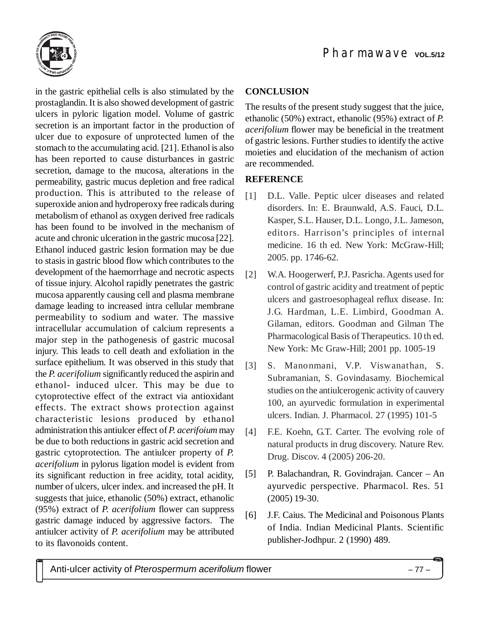

in the gastric epithelial cells is also stimulated by the prostaglandin. It is also showed development of gastric ulcers in pyloric ligation model. Volume of gastric secretion is an important factor in the production of ulcer due to exposure of unprotected lumen of the stomach to the accumulating acid. [21]. Ethanol is also has been reported to cause disturbances in gastric secretion, damage to the mucosa, alterations in the permeability, gastric mucus depletion and free radical production. This is attributed to the release of superoxide anion and hydroperoxy free radicals during metabolism of ethanol as oxygen derived free radicals has been found to be involved in the mechanism of acute and chronic ulceration in the gastric mucosa [22]. Ethanol induced gastric lesion formation may be due to stasis in gastric blood flow which contributes to the development of the haemorrhage and necrotic aspects of tissue injury. Alcohol rapidly penetrates the gastric mucosa apparently causing cell and plasma membrane damage leading to increased intra cellular membrane permeability to sodium and water. The massive intracellular accumulation of calcium represents a major step in the pathogenesis of gastric mucosal injury. This leads to cell death and exfoliation in the surface epithelium. It was observed in this study that the *P. acerifolium* significantly reduced the aspirin and ethanol- induced ulcer. This may be due to cytoprotective effect of the extract via antioxidant effects. The extract shows protection against characteristic lesions produced by ethanol administration this antiulcer effect of *P. acerifoium* may be due to both reductions in gastric acid secretion and gastric cytoprotection. The antiulcer property of *P. acerifolium* in pylorus ligation model is evident from its significant reduction in free acidity, total acidity, number of ulcers, ulcer index. and increased the pH. It suggests that juice, ethanolic (50%) extract, ethanolic (95%) extract of *P. acerifolium* flower can suppress gastric damage induced by aggressive factors. The antiulcer activity of *P. acerifolium* may be attributed to its flavonoids content.

## **CONCLUSION**

The results of the present study suggest that the juice, ethanolic (50%) extract, ethanolic (95%) extract of *P. acerifolium* flower may be beneficial in the treatment of gastric lesions. Further studies to identify the active moieties and elucidation of the mechanism of action are recommended.

# **REFERENCE**

- [1] D.L. Valle. Peptic ulcer diseases and related disorders. In: E. Braunwald, A.S. Fauci, D.L. Kasper, S.L. Hauser, D.L. Longo, J.L. Jameson, editors. Harrison's principles of internal medicine. 16 th ed. New York: McGraw-Hill; 2005. pp. 1746-62.
- [2] W.A. Hoogerwerf, P.J. Pasricha. Agents used for control of gastric acidity and treatment of peptic ulcers and gastroesophageal reflux disease. In: J.G. Hardman, L.E. Limbird, Goodman A. Gilaman, editors. Goodman and Gilman The Pharmacological Basis of Therapeutics. 10 th ed. New York: Mc Graw-Hill; 2001 pp. 1005-19
- [3] S. Manonmani, V.P. Viswanathan, S. Subramanian, S. Govindasamy. Biochemical studies on the antiulcerogenic activity of cauvery 100, an ayurvedic formulation in experimental ulcers. Indian. J. Pharmacol. 27 (1995) 101-5
- [4] F.E. Koehn, G.T. Carter. The evolving role of natural products in drug discovery. Nature Rev. Drug. Discov. 4 (2005) 206-20.
- [5] P. Balachandran, R. Govindrajan. Cancer An ayurvedic perspective. Pharmacol. Res. 51 (2005) 19-30.
- [6] J.F. Caius. The Medicinal and Poisonous Plants of India. Indian Medicinal Plants. Scientific publisher-Jodhpur. 2 (1990) 489.

Anti-ulcer activity of *Pterospermum acerifolium* flower – 77 –